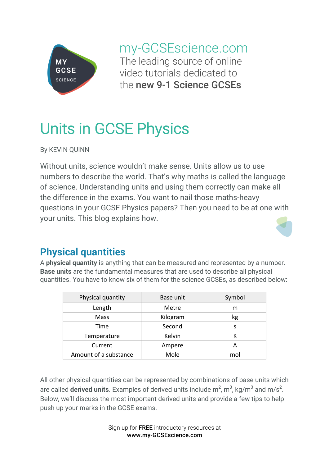

my-GCSEscience.com The leading source of online video tutorials dedicated to the new 9-1 Science GCSEs

# Units in GCSE Physics

By KEVIN QUINN

Without units, science wouldn't make sense. Units allow us to use numbers to describe the world. That's why maths is called the language of science. Understanding units and using them correctly can make all the difference in the exams. You want to nail those maths-heavy questions in your GCSE Physics papers? Then you need to be at one with your units. This blog explains how.



# **Physical quantities**

A **physical quantity** is anything that can be measured and represented by a number. **Base units** are the fundamental measures that are used to describe all physical quantities. You have to know six of them for the science GCSEs, as described below:

| Physical quantity     | Base unit | Symbol |
|-----------------------|-----------|--------|
| Length                | Metre     | m      |
| Mass                  | Kilogram  | kg     |
| Time                  | Second    | S      |
| Temperature           | Kelvin    |        |
| Current               | Ampere    |        |
| Amount of a substance | Mole      | mol    |

All other physical quantities can be represented by combinations of base units which are called **derived units**. Examples of derived units include  $m^2$ ,  $m^3$ , kg/m $^3$  and m/s<sup>2</sup>. Below, we'll discuss the most important derived units and provide a few tips to help push up your marks in the GCSE exams.

> Sign up for FREE introductory resources at www.my-GCSEscience.com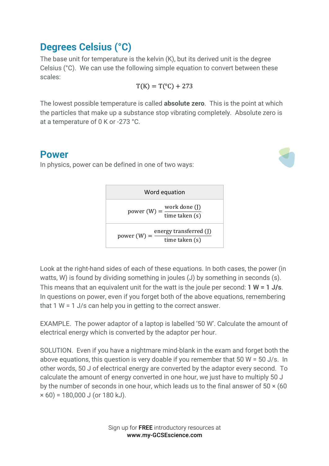### **Degrees Celsius (°C)**

The base unit for temperature is the kelvin (K), but its derived unit is the degree Celsius (°C). We can use the following simple equation to convert between these scales:

$$
T(K) = T(^{\circ}C) + 273
$$

The lowest possible temperature is called **absolute zero**. This is the point at which the particles that make up a substance stop vibrating completely. Absolute zero is at a temperature of 0 K or -273 °C.

#### **Power**

In physics, power can be defined in one of two ways:



| Word equation                                             |                                                                |  |
|-----------------------------------------------------------|----------------------------------------------------------------|--|
|                                                           | work done (J)<br>power (W) = $\frac{1}{\text{time taken (s)}}$ |  |
| energy transferred (J)<br>power $(W) =$<br>time taken (s) |                                                                |  |

Look at the right-hand sides of each of these equations. In both cases, the power (in watts, W) is found by dividing something in joules (J) by something in seconds (s). This means that an equivalent unit for the watt is the joule per second: **1 W = 1 J/s**. In questions on power, even if you forget both of the above equations, remembering that 1 W = 1 J/s can help you in getting to the correct answer.

EXAMPLE. The power adaptor of a laptop is labelled '50 W'. Calculate the amount of electrical energy which is converted by the adaptor per hour.

SOLUTION. Even if you have a nightmare mind-blank in the exam and forget both the above equations, this question is very doable if you remember that 50 W = 50 J/s. In other words, 50 J of electrical energy are converted by the adaptor every second. To calculate the amount of energy converted in one hour, we just have to multiply 50 J by the number of seconds in one hour, which leads us to the final answer of  $50 \times (60$  $\times$  60) = 180,000 J (or 180 kJ).

> Sign up for FREE introductory resources at www.my-GCSEscience.com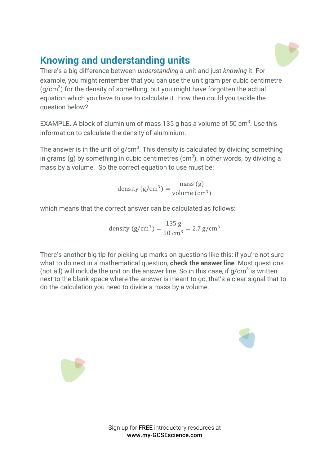# **Knowing and understanding units**

There's a big difference between *understanding* a unit and just *knowing* it. For example, you might remember that you can use the unit gram per cubic centimetre  $(g/cm<sup>3</sup>)$  for the density of something, but you might have forgotten the actual equation which you have to use to calculate it. How then could you tackle the question below?

EXAMPLE. A block of aluminium of mass 135 g has a volume of 50  $\text{cm}^3$ . Use this information to calculate the density of aluminium.

The answer is in the unit of g/cm $^3$ . This density is calculated by dividing something in grams (g) by something in cubic centimetres (cm $^3$ ), in other words, by dividing a mass by a volume. So the correct equation to use must be:

> density  $(g/cm^3) = \frac{mass(g)}{1 - g}$ volume  $\text{cm}^3$ )

which means that the correct answer can be calculated as follows:

density (g/cm<sup>3</sup>) = 
$$
\frac{135 \text{ g}}{50 \text{ cm}^3}
$$
 = 2.7 g/cm<sup>3</sup>

There's another big tip for picking up marks on questions like this: if you're not sure what to do next in a mathematical question, **check the answer line**. Most questions (not all) will include the unit on the answer line. So in this case, if  $q/cm^3$  is written next to the blank space where the answer is meant to go, that's a clear signal that to do the calculation you need to divide a mass by a volume.